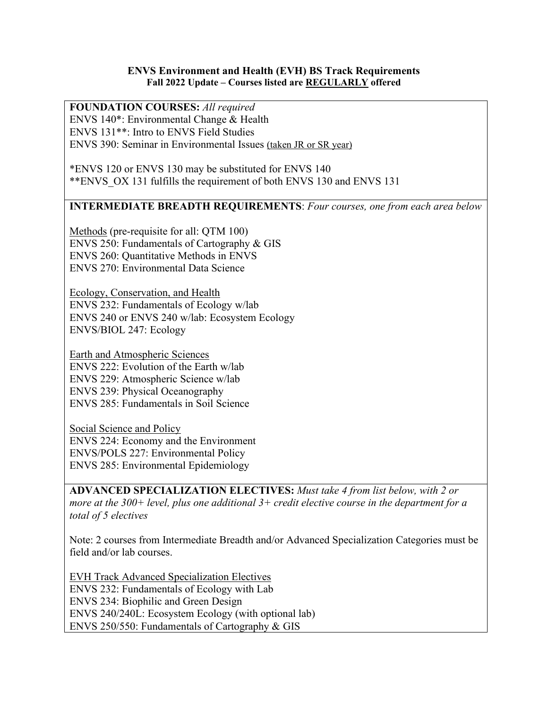## **ENVS Environment and Health (EVH) BS Track Requirements Fall 2022 Update – Courses listed are REGULARLY offered**

**FOUNDATION COURSES:** *All required* ENVS 140\*: Environmental Change & Health ENVS 131\*\*: Intro to ENVS Field Studies ENVS 390: Seminar in Environmental Issues (taken JR or SR year)

\*ENVS 120 or ENVS 130 may be substituted for ENVS 140 \*\*ENVS\_OX 131 fulfills the requirement of both ENVS 130 and ENVS 131

## **INTERMEDIATE BREADTH REQUIREMENTS**: *Four courses, one from each area below*

Methods (pre-requisite for all: QTM 100) ENVS 250: Fundamentals of Cartography & GIS ENVS 260: Quantitative Methods in ENVS ENVS 270: Environmental Data Science

Ecology, Conservation, and Health ENVS 232: Fundamentals of Ecology w/lab ENVS 240 or ENVS 240 w/lab: Ecosystem Ecology ENVS/BIOL 247: Ecology

Earth and Atmospheric Sciences ENVS 222: Evolution of the Earth w/lab ENVS 229: Atmospheric Science w/lab ENVS 239: Physical Oceanography ENVS 285: Fundamentals in Soil Science

Social Science and Policy ENVS 224: Economy and the Environment ENVS/POLS 227: Environmental Policy ENVS 285: Environmental Epidemiology

**ADVANCED SPECIALIZATION ELECTIVES:** *Must take 4 from list below, with 2 or more at the 300+ level, plus one additional 3+ credit elective course in the department for a total of 5 electives*

Note: 2 courses from Intermediate Breadth and/or Advanced Specialization Categories must be field and/or lab courses.

EVH Track Advanced Specialization Electives ENVS 232: Fundamentals of Ecology with Lab ENVS 234: Biophilic and Green Design ENVS 240/240L: Ecosystem Ecology (with optional lab) ENVS 250/550: Fundamentals of Cartography & GIS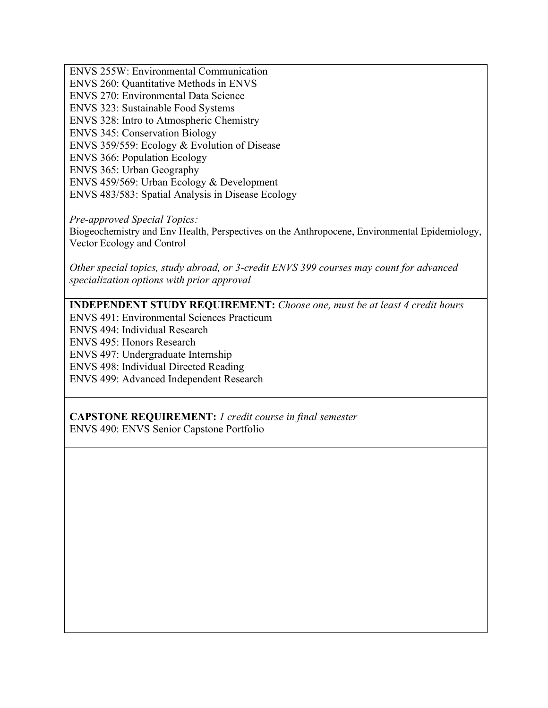ENVS 255W: Environmental Communication ENVS 260: Quantitative Methods in ENVS ENVS 270: Environmental Data Science ENVS 323: Sustainable Food Systems ENVS 328: Intro to Atmospheric Chemistry ENVS 345: Conservation Biology ENVS 359/559: Ecology & Evolution of Disease ENVS 366: Population Ecology ENVS 365: Urban Geography ENVS 459/569: Urban Ecology & Development ENVS 483/583: Spatial Analysis in Disease Ecology

*Pre-approved Special Topics:* Biogeochemistry and Env Health, Perspectives on the Anthropocene, Environmental Epidemiology, Vector Ecology and Control

*Other special topics, study abroad, or 3-credit ENVS 399 courses may count for advanced specialization options with prior approval*

**INDEPENDENT STUDY REQUIREMENT:** *Choose one, must be at least 4 credit hours*

ENVS 491: Environmental Sciences Practicum

ENVS 494: Individual Research

ENVS 495: Honors Research

ENVS 497: Undergraduate Internship

ENVS 498: Individual Directed Reading

ENVS 499: Advanced Independent Research

**CAPSTONE REQUIREMENT:** *1 credit course in final semester* ENVS 490: ENVS Senior Capstone Portfolio